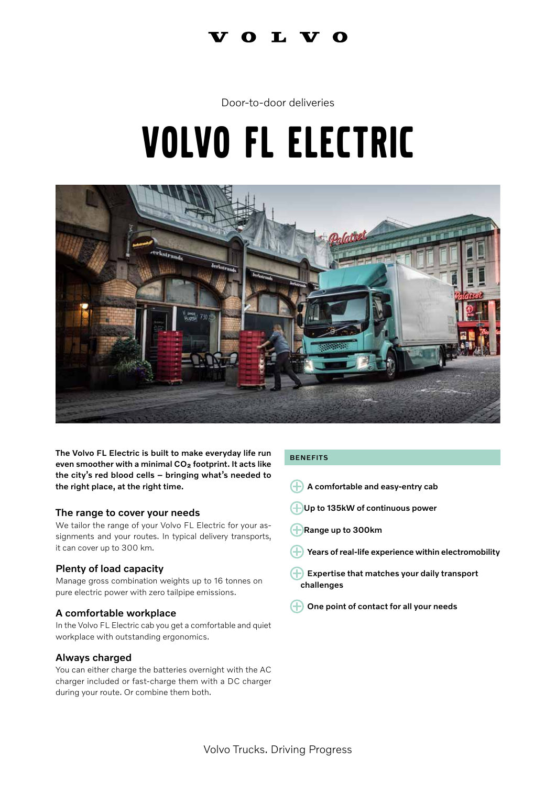# I V O

# Door-to-door deliveries

# Volvo FL electric



The Volvo FL Electric is built to make everyday life run even smoother with a minimal CO<sub>2</sub> footprint. It acts like the city's red blood cells – bringing what's needed to the right place, at the right time.

## The range to cover your needs

We tailor the range of your Volvo FL Electric for your assignments and your routes. In typical delivery transports, it can cover up to 300 km.

# Plenty of load capacity

Manage gross combination weights up to 16 tonnes on pure electric power with zero tailpipe emissions.

## A comfortable workplace

In the Volvo FL Electric cab you get a comfortable and quiet workplace with outstanding ergonomics.

# Always charged

You can either charge the batteries overnight with the AC charger included or fast-charge them with a DC charger during your route. Or combine them both.

### BENEFITS

- $\leftarrow$  A comfortable and easy-entry cab
- HUp to 135kW of continuous power
- Range up to 300km
- Years of real-life experience within electromobility
- $\left( +\right)$  Expertise that matches your daily transport challenges
- $\bigoplus$  One point of contact for all your needs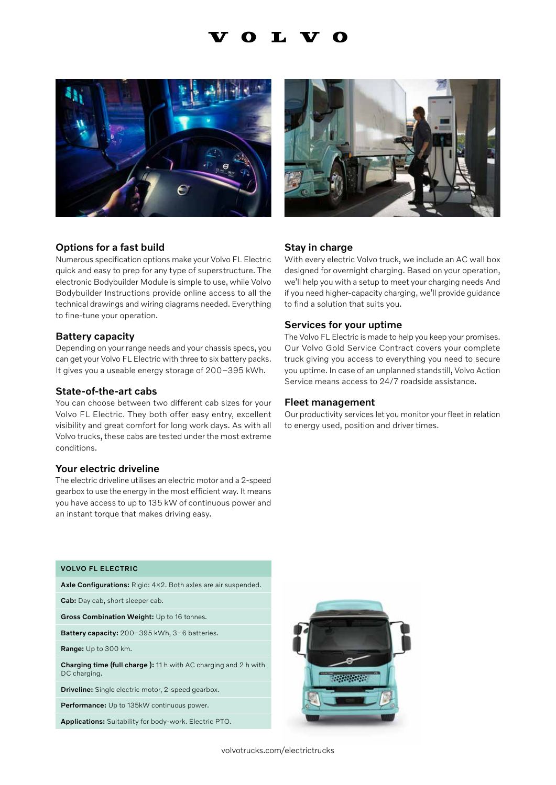# Т.





## Options for a fast build

Numerous specification options make your Volvo FL Electric quick and easy to prep for any type of superstructure. The electronic Bodybuilder Module is simple to use, while Volvo Bodybuilder Instructions provide online access to all the technical drawings and wiring diagrams needed. Everything to fine-tune your operation.

#### Battery capacity

Depending on your range needs and your chassis specs, you can get your Volvo FL Electric with three to six battery packs. It gives you a useable energy storage of 200–395 kWh.

#### State-of-the-art cabs

You can choose between two different cab sizes for your Volvo FL Electric. They both offer easy entry, excellent visibility and great comfort for long work days. As with all Volvo trucks, these cabs are tested under the most extreme conditions.

### Your electric driveline

The electric driveline utilises an electric motor and a 2-speed gearbox to use the energy in the most efficient way. It means you have access to up to 135 kW of continuous power and an instant torque that makes driving easy.

#### Stay in charge

With every electric Volvo truck, we include an AC wall box designed for overnight charging. Based on your operation, we'll help you with a setup to meet your charging needs And if you need higher-capacity charging, we'll provide guidance to find a solution that suits you.

#### Services for your uptime

The Volvo FL Electric is made to help you keep your promises. Our Volvo Gold Service Contract covers your complete truck giving you access to everything you need to secure you uptime. In case of an unplanned standstill, Volvo Action Service means access to 24/7 roadside assistance.

#### Fleet management

Our productivity services let you monitor your fleet in relation to energy used, position and driver times.

### VOLVO FL ELECTRIC

Axle Configurations: Rigid: 4×2. Both axles are air suspended.

Cab: Day cab, short sleeper cab.

Gross Combination Weight: Up to 16 tonnes.

Battery capacity: 200–395 kWh, 3–6 batteries.

Range: Up to 300 km.

Charging time (full charge): 11 h with AC charging and 2 h with DC charging.

Driveline: Single electric motor, 2-speed gearbox.

Performance: Up to 135kW continuous power.

Applications: Suitability for body-work. Electric PTO.



volvotrucks.com/electrictrucks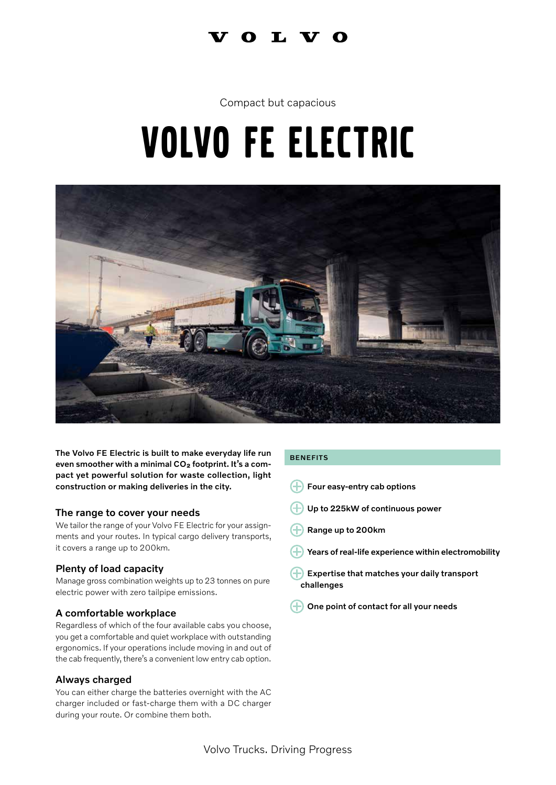# $0<sub>L</sub> V<sub>O</sub>$

# Compact but capacious

# Volvo FE electric



The Volvo FE Electric is built to make everyday life run even smoother with a minimal CO<sub>2</sub> footprint. It's a compact yet powerful solution for waste collection, light construction or making deliveries in the city.

# The range to cover your needs

We tailor the range of your Volvo FE Electric for your assignments and your routes. In typical cargo delivery transports, it covers a range up to 200km.

# Plenty of load capacity

Manage gross combination weights up to 23 tonnes on pure electric power with zero tailpipe emissions.

# A comfortable workplace

Regardless of which of the four available cabs you choose, you get a comfortable and quiet workplace with outstanding ergonomics. If your operations include moving in and out of the cab frequently, there's a convenient low entry cab option.

# Always charged

You can either charge the batteries overnight with the AC charger included or fast-charge them with a DC charger during your route. Or combine them both.

### BENEFITS

- $\bigoplus$  Four easy-entry cab options
- Up to 225kW of continuous power
- Range up to 200km
- Years of real-life experience within electromobility
- Expertise that matches your daily transport challenges
- One point of contact for all your needs